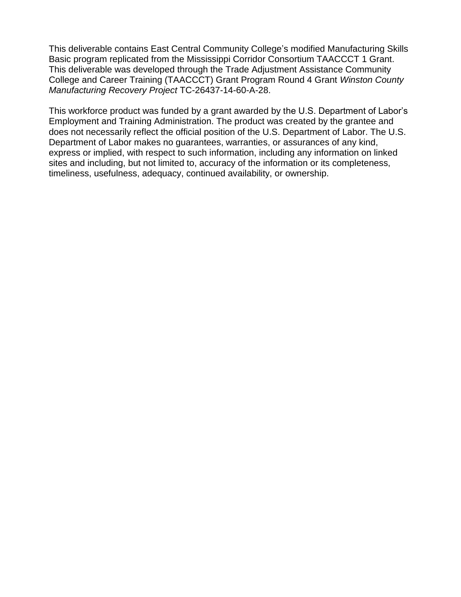This deliverable contains East Central Community College's modified Manufacturing Skills Basic program replicated from the Mississippi Corridor Consortium TAACCCT 1 Grant. This deliverable was developed through the Trade Adjustment Assistance Community College and Career Training (TAACCCT) Grant Program Round 4 Grant *Winston County Manufacturing Recovery Project* TC-26437-14-60-A-28.

This workforce product was funded by a grant awarded by the U.S. Department of Labor's Employment and Training Administration. The product was created by the grantee and does not necessarily reflect the official position of the U.S. Department of Labor. The U.S. Department of Labor makes no guarantees, warranties, or assurances of any kind, express or implied, with respect to such information, including any information on linked sites and including, but not limited to, accuracy of the information or its completeness, timeliness, usefulness, adequacy, continued availability, or ownership.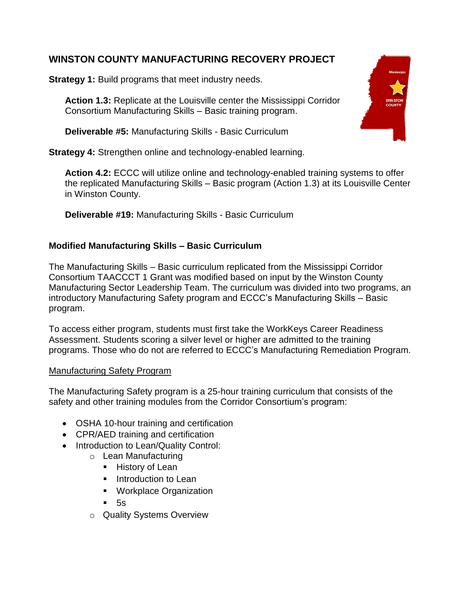# **WINSTON COUNTY MANUFACTURING RECOVERY PROJECT**

**Strategy 1:** Build programs that meet industry needs.

**Action 1.3:** Replicate at the Louisville center the Mississippi Corridor Consortium Manufacturing Skills – Basic training program.

**Deliverable #5:** Manufacturing Skills - Basic Curriculum

**Strategy 4:** Strengthen online and technology-enabled learning.

**Action 4.2:** ECCC will utilize online and technology-enabled training systems to offer the replicated Manufacturing Skills – Basic program (Action 1.3) at its Louisville Center in Winston County.

**Deliverable #19:** Manufacturing Skills - Basic Curriculum

# **Modified Manufacturing Skills – Basic Curriculum**

The Manufacturing Skills – Basic curriculum replicated from the Mississippi Corridor Consortium TAACCCT 1 Grant was modified based on input by the Winston County Manufacturing Sector Leadership Team. The curriculum was divided into two programs, an introductory Manufacturing Safety program and ECCC's Manufacturing Skills – Basic program.

To access either program, students must first take the WorkKeys Career Readiness Assessment. Students scoring a silver level or higher are admitted to the training programs. Those who do not are referred to ECCC's Manufacturing Remediation Program.

## Manufacturing Safety Program

The Manufacturing Safety program is a 25-hour training curriculum that consists of the safety and other training modules from the Corridor Consortium's program:

- OSHA 10-hour training and certification
- CPR/AED training and certification
- Introduction to Lean/Quality Control:
	- o Lean Manufacturing
		- **History of Lean**
		- **Introduction to Lean**
		- **Workplace Organization**
		- 5s
	- o Quality Systems Overview

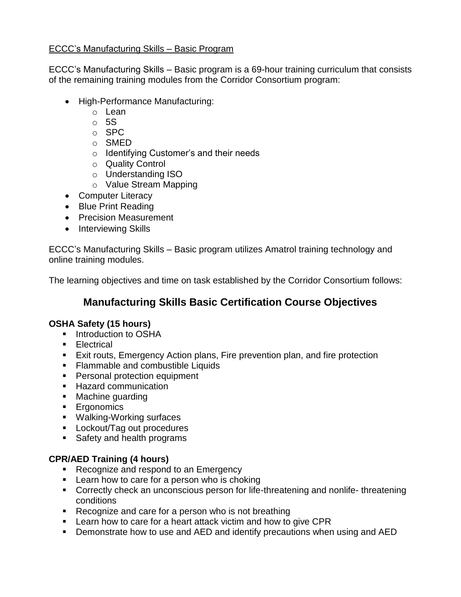## ECCC's Manufacturing Skills – Basic Program

ECCC's Manufacturing Skills – Basic program is a 69-hour training curriculum that consists of the remaining training modules from the Corridor Consortium program:

- High-Performance Manufacturing:
	- o Lean
	- $\circ$  5S
	- o SPC
	- o SMED
	- o Identifying Customer's and their needs
	- o Quality Control
	- o Understanding ISO
	- o Value Stream Mapping
- Computer Literacy
- Blue Print Reading
- Precision Measurement
- Interviewing Skills

ECCC's Manufacturing Skills – Basic program utilizes Amatrol training technology and online training modules.

The learning objectives and time on task established by the Corridor Consortium follows:

# **Manufacturing Skills Basic Certification Course Objectives**

### **OSHA Safety (15 hours)**

- **Introduction to OSHA**
- **Electrical**
- Exit routs, Emergency Action plans, Fire prevention plan, and fire protection
- **Flammable and combustible Liquids**
- **Personal protection equipment**
- **Hazard communication**
- Machine guarding
- **E**rgonomics
- Walking-Working surfaces
- **Lockout/Tag out procedures**
- **Safety and health programs**

### **CPR/AED Training (4 hours)**

- Recognize and respond to an Emergency
- **EXECT** Learn how to care for a person who is choking
- Correctly check an unconscious person for life-threatening and nonlife- threatening conditions
- Recognize and care for a person who is not breathing
- **EXECT** Learn how to care for a heart attack victim and how to give CPR
- **•** Demonstrate how to use and AED and identify precautions when using and AED